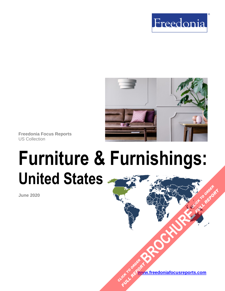



**Freedonia Focus Reports** US Collection

# **Furniture & Furnishings: United States**

**June 2020**

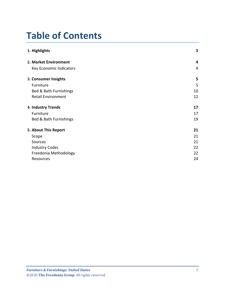# **Table of Contents**

| 1. Highlights             | 3  |
|---------------------------|----|
| 2. Market Environment     | 4  |
| Key Economic Indicators   | 4  |
| 3. Consumer Insights      | 5  |
| Furniture                 | 5  |
| Bed & Bath Furnishings    | 10 |
| <b>Retail Environment</b> | 12 |
| 4. Industry Trends        | 17 |
| Furniture                 | 17 |
| Bed & Bath Furnishings    | 19 |
| 5. About This Report      | 21 |
| Scope                     | 21 |
| Sources                   | 21 |
| <b>Industry Codes</b>     | 22 |
| Freedonia Methodology     | 22 |
| Resources                 | 24 |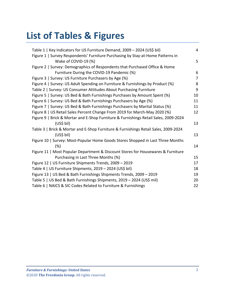# **List of Tables & Figures**

| Table 1   Key Indicators for US Furniture Demand, 2009 - 2024 (US\$ bil)             | $\overline{4}$ |
|--------------------------------------------------------------------------------------|----------------|
| Figure 1   Survey Respondents' Furniture Purchasing by Stay-at-Home Patterns in      |                |
| Wake of COVID-19 (%)                                                                 | 5              |
| Figure 2   Survey: Demographics of Respondents that Purchased Office & Home          |                |
| Furniture During the COVID-19 Pandemic (%)                                           | 6              |
| Figure 3   Survey: US Furniture Purchasers by Age (%)                                | $\overline{7}$ |
| Figure 4   Survey: US Adult Spending on Furniture & Furnishings by Product (%)       | 8              |
| Table 2   Survey: US Consumer Attitudes About Purchasing Furniture                   | 9              |
| Figure 5   Survey: US Bed & Bath Furnishings Purchases by Amount Spent (%)           | 10             |
| Figure 6   Survey: US Bed & Bath Furnishings Purchasers by Age (%)                   | 11             |
| Figure 7   Survey: US Bed & Bath Furnishings Purchasers by Marital Status (%)        | 11             |
| Figure 8   US Retail Sales Percent Change From 2019 for March-May 2020 (%)           | 12             |
| Figure 9   Brick & Mortar and E-Shop Furniture & Furnishings Retail Sales, 2009-2024 |                |
| (US\$ bil)                                                                           | 13             |
| Table 3   Brick & Mortar and E-Shop Furniture & Furnishings Retail Sales, 2009-2024  |                |
| (US\$ bil)                                                                           | 13             |
| Figure 10   Survey: Most-Popular Home Goods Stores Shopped in Last Three Months      |                |
| (%)                                                                                  | 14             |
| Figure 11   Most Popular Department & Discount Stores for Housewares & Furniture     |                |
| Purchasing in Last Three Months (%)                                                  | 15             |
| Figure 12   US Furniture Shipments Trends, 2009 - 2019                               | 17             |
| Table 4   US Furniture Shipments, 2019 - 2024 (US\$ bil)                             | 18             |
| Figure 13   US Bed & Bath Furnishings Shipments Trends, 2009 - 2019                  | 19             |
| Table 5   US Bed & Bath Furnishings Shipments, 2019 - 2024 (US\$ mil)                | 20             |
| Table 6   NAICS & SIC Codes Related to Furniture & Furnishings                       | 22             |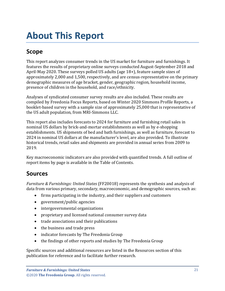# <span id="page-3-0"></span>**About This Report**

# <span id="page-3-1"></span>**Scope**

This report analyzes consumer trends in the US market for furniture and furnishings. It features the results of proprietary online surveys conducted August-September 2018 and April-May 2020. These surveys polled US adults (age 18+), feature sample sizes of approximately 2,000 and 1,500, respectively, and are census-representative on the primary demographic measures of age bracket, gender, geographic region, household income, presence of children in the household, and race/ethnicity.

Analyses of syndicated consumer survey results are also included. These results are compiled by Freedonia Focus Reports, based on Winter 2020 Simmons Profile Reports, a booklet-based survey with a sample size of approximately 25,000 that is representative of the US adult population, from MRI-Simmons LLC.

This report also includes forecasts to 2024 for furniture and furnishing retail sales in nominal US dollars by brick-and-mortar establishments as well as by e-shopping establishments. US shipments of bed and bath furnishings, as well as furniture, forecast to 2024 in nominal US dollars at the manufacturer's level, are also provided. To illustrate historical trends, retail sales and shipments are provided in annual series from 2009 to 2019.

Key macroeconomic indicators are also provided with quantified trends. A full outline of report items by page is available in the Table of Contents.

## <span id="page-3-2"></span>**Sources**

*Furniture & Furnishings: United States* (FF20018) represents the synthesis and analysis of data from various primary, secondary, macroeconomic, and demographic sources, such as:

- firms participating in the industry, and their suppliers and customers
- government/public agencies
- intergovernmental organizations
- proprietary and licensed national consumer survey data
- trade associations and their publications
- the business and trade press
- indicator forecasts by The Freedonia Group
- the findings of other reports and studies by The Freedonia Group

Specific sources and additional resources are listed in the Resources section of this publication for reference and to facilitate further research.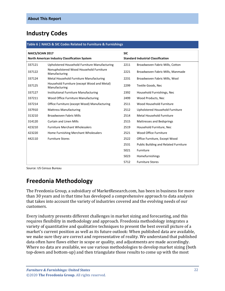### <span id="page-4-0"></span>**Industry Codes**

#### <span id="page-4-2"></span>**Table 6 | NAICS & SIC Codes Related to Furniture & Furnishings**

| <b>SIC</b><br><b>NAICS/SCIAN 2017</b>                                                      |                                                              |      |                                              |  |
|--------------------------------------------------------------------------------------------|--------------------------------------------------------------|------|----------------------------------------------|--|
| <b>Standard Industrial Classification</b><br>North American Industry Classification System |                                                              |      |                                              |  |
| 337121                                                                                     | Upholstered Household Furniture Manufacturing                | 2211 | Broadwoven Fabric Mills, Cotton              |  |
| 337122                                                                                     | Nonupholstered Wood Household Furniture<br>Manufacturing     | 2221 | Broadwoven Fabric Mills, Manmade             |  |
| 337124                                                                                     | Metal Household Furniture Manufacturing                      | 2231 | Broadwoven Fabric Mills, Wool                |  |
| 337125                                                                                     | Household Furniture (except Wood and Metal)<br>Manufacturing | 2299 | <b>Textile Goods, Nec</b>                    |  |
| 337127                                                                                     | Institutional Furniture Manufacturing                        | 2392 | Household Furnishings, Nec                   |  |
| 337211                                                                                     | Wood Office Furniture Manufacturing                          | 2499 | Wood Products, Nec                           |  |
| 337214                                                                                     | Office Furniture (except Wood) Manufacturing                 | 2511 | Wood Household Furniture                     |  |
| 337910                                                                                     | <b>Mattress Manufacturing</b>                                | 2512 | Upholstered Household Furniture              |  |
| 313210                                                                                     | <b>Broadwoven Fabric Mills</b>                               | 2514 | Metal Household Furniture                    |  |
| 314120                                                                                     | <b>Curtain and Linen Mills</b>                               | 2515 | Mattresses and Bedsprings                    |  |
| 423210                                                                                     | <b>Furniture Merchant Wholesalers</b>                        | 2519 | Household Furniture, Nec                     |  |
| 423220                                                                                     | Home Furnishing Merchant Wholesalers                         | 2521 | Wood Office Furniture                        |  |
| 442110                                                                                     | <b>Furniture Stores</b>                                      | 2522 | Office Furniture, Except Wood                |  |
|                                                                                            |                                                              | 2531 | <b>Public Building and Related Furniture</b> |  |
|                                                                                            |                                                              | 5021 | Furniture                                    |  |
|                                                                                            |                                                              | 5023 | Homefurnishings                              |  |
|                                                                                            |                                                              | 5712 | <b>Furniture Stores</b>                      |  |

Source: US Census Bureau

## <span id="page-4-1"></span>**Freedonia Methodology**

The Freedonia Group, a subsidiary of MarketResearch.com, has been in business for more than 30 years and in that time has developed a comprehensive approach to data analysis that takes into account the variety of industries covered and the evolving needs of our customers.

Every industry presents different challenges in market sizing and forecasting, and this requires flexibility in methodology and approach. Freedonia methodology integrates a variety of quantitative and qualitative techniques to present the best overall picture of a market's current position as well as its future outlook: When published data are available, we make sure they are correct and representative of reality. We understand that published data often have flaws either in scope or quality, and adjustments are made accordingly. Where no data are available, we use various methodologies to develop market sizing (both top-down and bottom-up) and then triangulate those results to come up with the most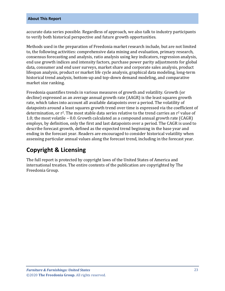#### **About This Report**

accurate data series possible. Regardless of approach, we also talk to industry participants to verify both historical perspective and future growth opportunities.

Methods used in the preparation of Freedonia market research include, but are not limited to, the following activities: comprehensive data mining and evaluation, primary research, consensus forecasting and analysis, ratio analysis using key indicators, regression analysis, end use growth indices and intensity factors, purchase power parity adjustments for global data, consumer and end user surveys, market share and corporate sales analysis, product lifespan analysis, product or market life cycle analysis, graphical data modeling, long-term historical trend analysis, bottom-up and top-down demand modeling, and comparative market size ranking.

Freedonia quantifies trends in various measures of growth and volatility. Growth (or decline) expressed as an average annual growth rate (AAGR) is the least squares growth rate, which takes into account all available datapoints over a period. The volatility of datapoints around a least squares growth trend over time is expressed via the coefficient of determination, or r<sup>2</sup>. The most stable data series relative to the trend carries an r<sup>2</sup> value of 1.0; the most volatile – 0.0. Growth calculated as a compound annual growth rate (CAGR) employs, by definition, only the first and last datapoints over a period. The CAGR is used to describe forecast growth, defined as the expected trend beginning in the base year and ending in the forecast year. Readers are encouraged to consider historical volatility when assessing particular annual values along the forecast trend, including in the forecast year.

## **Copyright & Licensing**

The full report is protected by copyright laws of the United States of America and international treaties. The entire contents of the publication are copyrighted by The Freedonia Group.